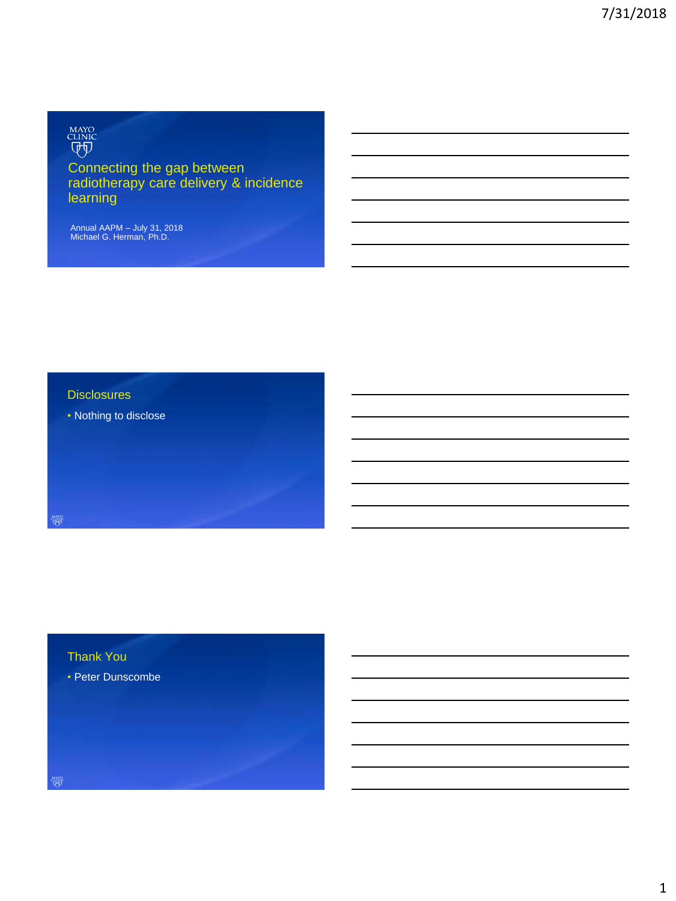# MAYO<br>CLINIC<br>Q+Q

# Connecting the gap between radiotherapy care delivery & incidence learning

Annual AAPM – July 31, 2018 Michael G. Herman, Ph.D.

### **Disclosures**

• Nothing to disclose

# Thank You

• Peter Dunscombe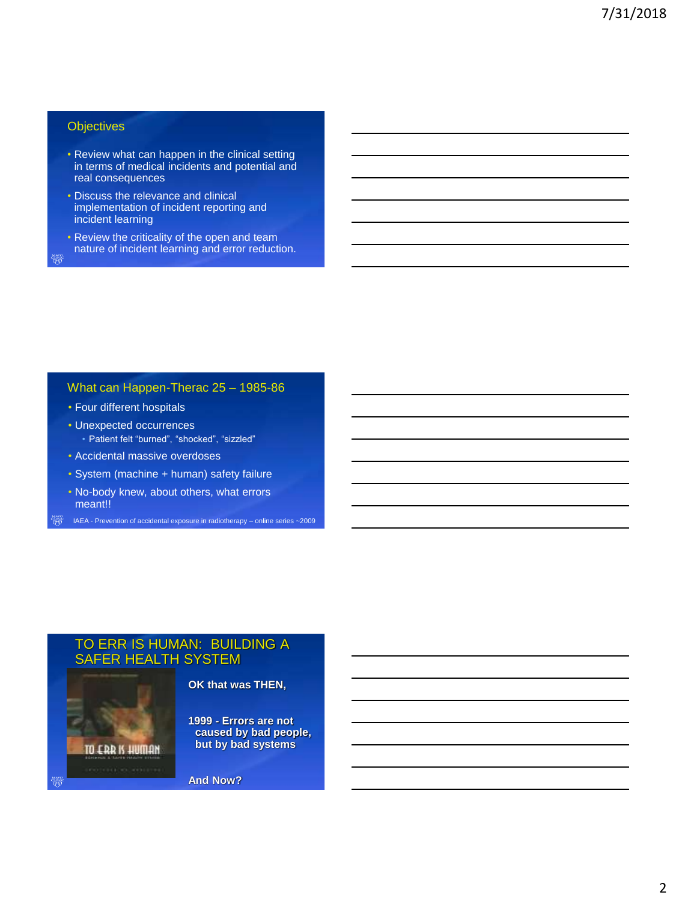#### **Objectives**

- Review what can happen in the clinical setting in terms of medical incidents and potential and real consequences
- Discuss the relevance and clinical implementation of incident reporting and incident learning
- Review the criticality of the open and team nature of incident learning and error reduction.

What can Happen-Therac 25 – 1985-86

- Four different hospitals
- Unexpected occurrences • Patient felt "burned", "shocked", "sizzled"
- Accidental massive overdoses
- System (machine + human) safety failure
- No-body knew, about others, what errors meant!!
- IAEA Prevention of accidental exposure in radiotherapy online series ~2009

# TO ERR IS HUMAN: BUILDING A SAFER HEALTH SYSTEM



#### **OK that was THEN,**

**1999 - Errors are not caused by bad people, but by bad systems**

**And Now?**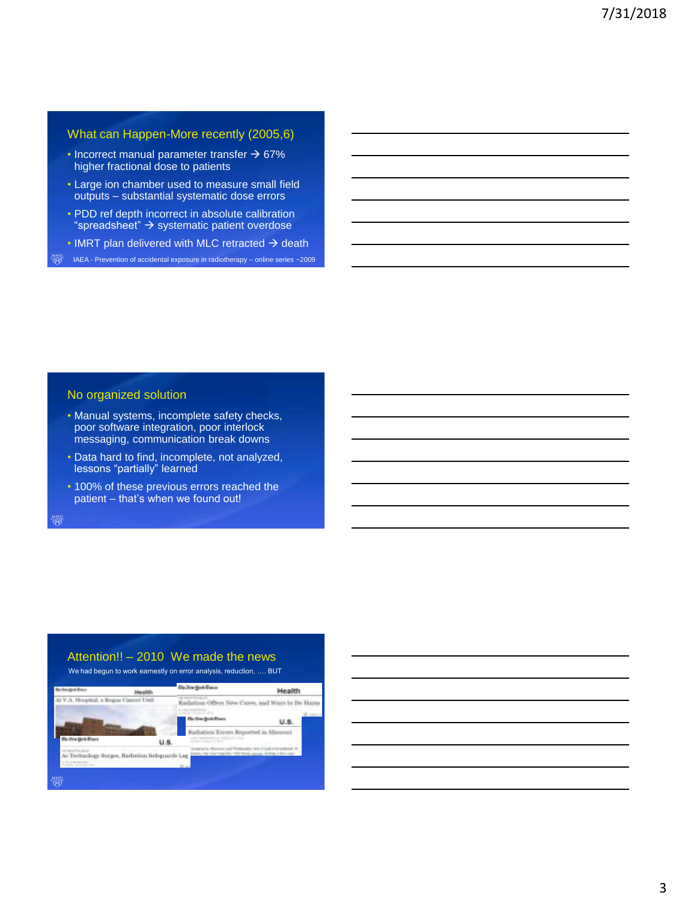#### What can Happen-More recently (2005,6)

- $\cdot$  Incorrect manual parameter transfer  $\rightarrow$  67% higher fractional dose to patients
- Large ion chamber used to measure small field outputs – substantial systematic dose errors
- PDD ref depth incorrect in absolute calibration "spreadsheet"  $\rightarrow$  systematic patient overdose
- IMRT plan delivered with MLC retracted  $\rightarrow$  death

IAEA - Prevention of accidental exposure in radiotherapy – online series ~2009

#### No organized solution

- Manual systems, incomplete safety checks, poor software integration, poor interlock messaging, communication break downs
- Data hard to find, incomplete, not analyzed, lessons "partially" learned
- 100% of these previous errors reached the patient – that's when we found out!

<sub>ዛልና</sub><br>ዋስ

# Attention!! – 2010 We made the news

We had begun to work earnestly on error analysis, reduction, …. BUT



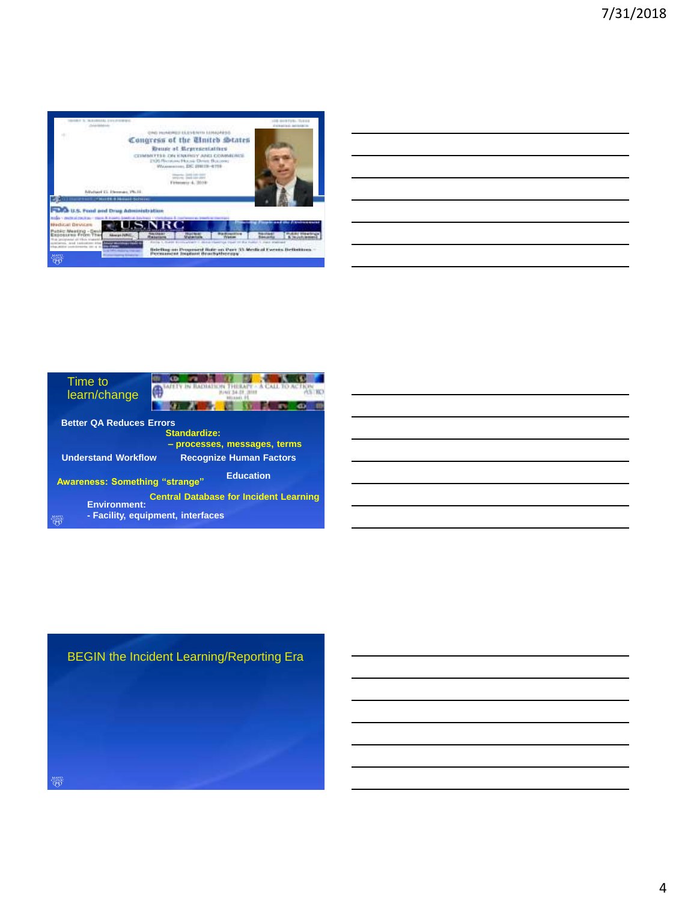

| ,我们也不会不会不会不会不会不会不会不会不会不会不会不会不会不会不会。""我们的是我们的,我们也不会不会不会不会不会不会不会。""我们的是我们的,我们也不会不会                                        |  |  |
|-------------------------------------------------------------------------------------------------------------------------|--|--|
| <u> 1989 - Johann Harry Harry Harry Harry Harry Harry Harry Harry Harry Harry Harry Harry Harry Harry Harry Harry</u>   |  |  |
| <u> 1989 - Johann Stoff, fransk politik (d. 1989)</u>                                                                   |  |  |
| <u> 1989 - Johann Barbert Barbert Barbert Barbert Barbert Barbert Barbert Barbert Barbert Barbert Barbert Barbert B</u> |  |  |
| <u> 1989 - Johann Barn, mars ann an t-Amhain ann an t-Amhain ann an t-Amhain ann an t-Amhain an t-Amhain ann an t-</u>  |  |  |
|                                                                                                                         |  |  |
|                                                                                                                         |  |  |



## BEGIN the Incident Learning/Reporting Era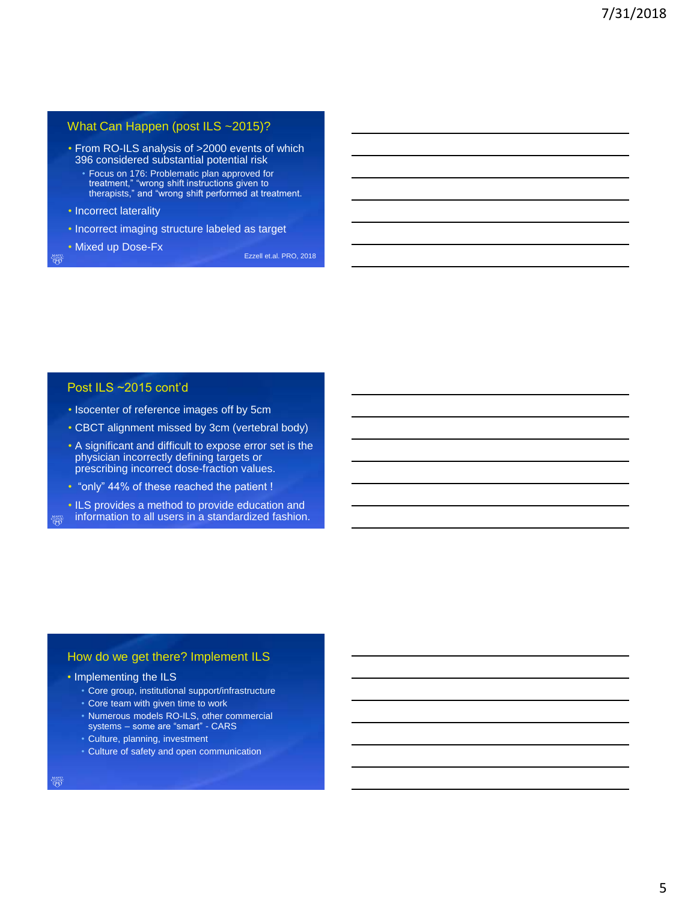## What Can Happen (post ILS ~2015)?

- From RO-ILS analysis of >2000 events of which 396 considered substantial potential risk
	- Focus on 176: Problematic plan approved for treatment," "wrong shift instructions given to therapists," and "wrong shift performed at treatment.
- Incorrect laterality
- Incorrect imaging structure labeled as target
- Mixed up Dose-Fx

Ezzell et.al. PRO, 2018

#### Post ILS ~2015 cont'd

- Isocenter of reference images off by 5cm
- CBCT alignment missed by 3cm (vertebral body)
- A significant and difficult to expose error set is the physician incorrectly defining targets or prescribing incorrect dose-fraction values.
- "only" 44% of these reached the patient !
- ILS provides a method to provide education and information to all users in a standardized fashion.

#### How do we get there? Implement ILS

- Implementing the ILS
	- Core group, institutional support/infrastructure
	- Core team with given time to work
	- Numerous models RO-ILS, other commercial systems some are "smart" CARS
	- Culture, planning, investment
	- Culture of safety and open communication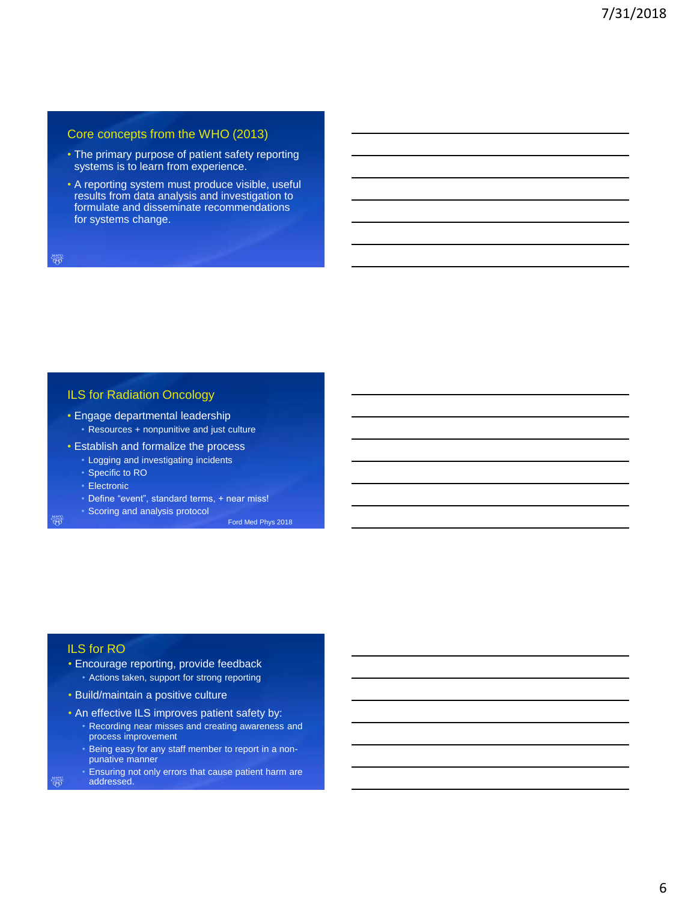#### Core concepts from the WHO (2013)

- The primary purpose of patient safety reporting systems is to learn from experience.
- A reporting system must produce visible, useful results from data analysis and investigation to formulate and disseminate recommendations for systems change.

#### ILS for Radiation Oncology

- Engage departmental leadership • Resources + nonpunitive and just culture
- Establish and formalize the process
	- Logging and investigating incidents
	- Specific to RO
	- Electronic
	- Define "event", standard terms, + near miss!
	- Scoring and analysis protocol

<sub>ዛልና</sub><br>ዋስ

ነነነገድ<br>ዋ

Ford Med Phys 2018

# ILS for RO

- Encourage reporting, provide feedback • Actions taken, support for strong reporting
- Build/maintain a positive culture
- An effective ILS improves patient safety by:
	- Recording near misses and creating awareness and process improvement
	- Being easy for any staff member to report in a nonpunative manner
- Ensuring not only errors that cause patient harm are addressed.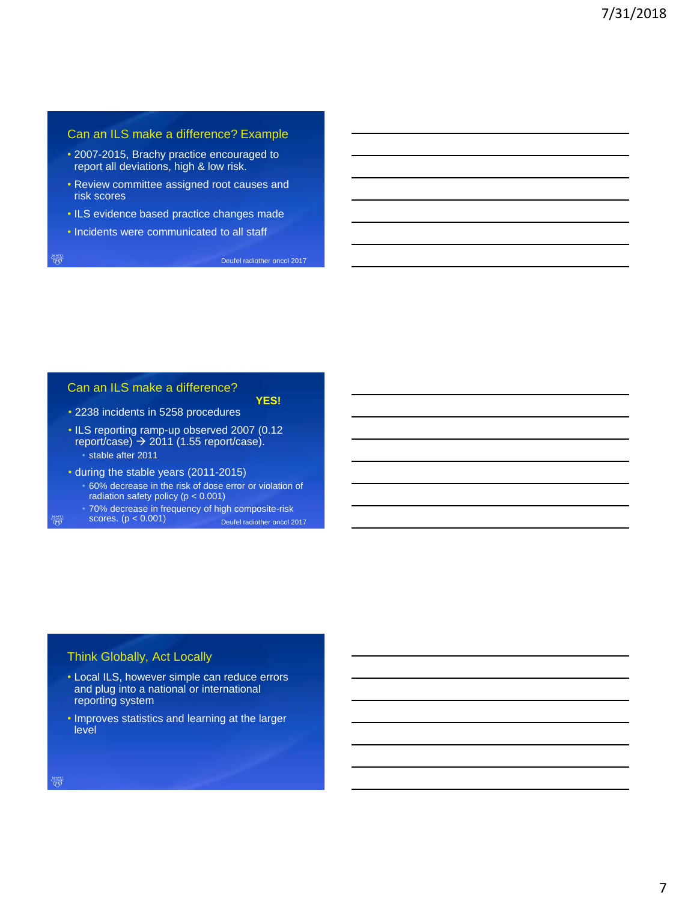#### Can an ILS make a difference? Example

- 2007-2015, Brachy practice encouraged to report all deviations, high & low risk.
- Review committee assigned root causes and risk scores
- ILS evidence based practice changes made
- Incidents were communicated to all staff

Deufel radiother oncol 2017

**YES!**

## Can an ILS make a difference?

• 2238 incidents in 5258 procedures

- ILS reporting ramp-up observed 2007 (0.12 report/case)  $\rightarrow$  2011 (1.55 report/case). • stable after 2011
- during the stable years (2011-2015)
	- 60% decrease in the risk of dose error or violation of radiation safety policy (p < 0.001)
	- 70% decrease in frequency of high composite-risk
- scores. (p < 0.001) Deufel radiother oncol 2017

#### Think Globally, Act Locally

- Local ILS, however simple can reduce errors and plug into a national or international reporting system
- Improves statistics and learning at the larger level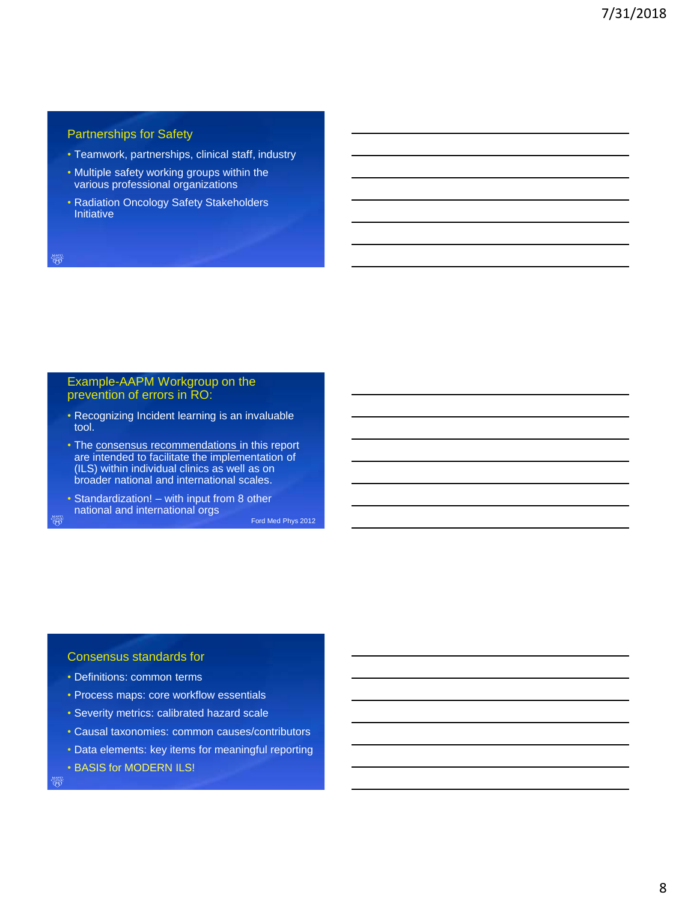## Partnerships for Safety

- Teamwork, partnerships, clinical staff, industry
- Multiple safety working groups within the various professional organizations
- Radiation Oncology Safety Stakeholders **Initiative**

#### Example-AAPM Workgroup on the prevention of errors in RO:

- Recognizing Incident learning is an invaluable tool.
- The consensus recommendations in this report are intended to facilitate the implementation of (ILS) within individual clinics as well as on broader national and international scales.
- Standardization! with input from 8 other national and international orgs

Ford Med Phys 2012

#### Consensus standards for

- Definitions: common terms
- Process maps: core workflow essentials
- Severity metrics: calibrated hazard scale
- Causal taxonomies: common causes/contributors
- Data elements: key items for meaningful reporting
- BASIS for MODERN ILS!

ነነነገድ<br>ዋ